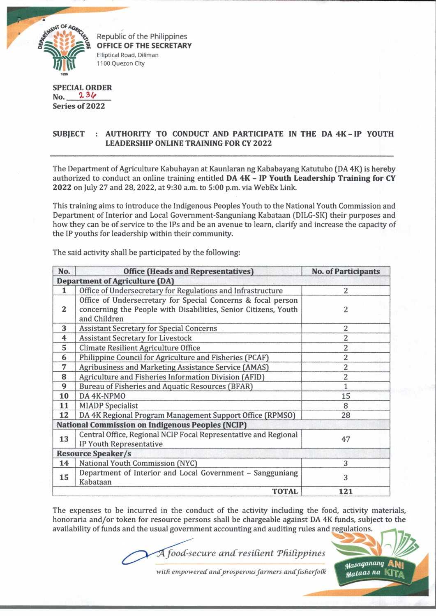

Republic of the Philippines **OFFICE OF THE SECRETARY** Elliptical Road, Dlliman 1100 Quezon City

## **SPECIAL ORDER No. Series of 2022**

## **SUBJECT AUTHORITY TO CONDUCT AND PARTICIPATE IN THE DA 4K - IP YOUTH LEADERSHIP ONLINE TRAINING FOR CY 2022**

The Department of Agriculture Kabuhayan at Kaunlaran ng Kababayang Katutubo (DA 4K) is hereby authorized to conduct an online training entitled **DA 4K** - **IP Youth Leadership Training for CY** 2022 on July 27 and 28, 2022, at 9:30 a.m. to 5:00 p.m. via WebEx Link.

This training aims to introduce the Indigenous Peoples Youth to the National Youth Commission and Department of Interior and Local Government-Sanguniang Kabataan (DILG-SK) their purposes and how they can be of service to the IPs and be an avenue to learn, clarify and increase the capacity of the IP youths for leadership within their community.

The said activity shall be participated by the following:

| No.                                                     | <b>Office (Heads and Representatives)</b>                                                                                                       | <b>No. of Participants</b> |
|---------------------------------------------------------|-------------------------------------------------------------------------------------------------------------------------------------------------|----------------------------|
| <b>Department of Agriculture (DA)</b>                   |                                                                                                                                                 |                            |
| 1                                                       | Office of Undersecretary for Regulations and Infrastructure                                                                                     | $\overline{2}$             |
| $\boldsymbol{2}$                                        | Office of Undersecretary for Special Concerns & focal person<br>concerning the People with Disabilities, Senior Citizens, Youth<br>and Children | 2                          |
| 3                                                       | Assistant Secretary for Special Concerns.                                                                                                       | 2                          |
| 4                                                       | <b>Assistant Secretary for Livestock</b>                                                                                                        | $\overline{c}$             |
| 5                                                       | Climate Resilient Agriculture Office                                                                                                            | $\overline{2}$             |
| 6                                                       | Philippine Council for Agriculture and Fisheries (PCAF)                                                                                         | $\overline{c}$             |
| 7                                                       | Agribusiness and Marketing Assistance Service (AMAS)                                                                                            | $\overline{c}$             |
| 8                                                       | Agriculture and Fisheries Information Division (AFID)                                                                                           | $\overline{c}$             |
| 9                                                       | Bureau of Fisheries and Aquatic Resources (BFAR)                                                                                                | $\mathbf{1}$               |
| 10                                                      | DA 4K-NPMO                                                                                                                                      | 15                         |
| 11                                                      | <b>MIADP</b> Specialist                                                                                                                         | 8                          |
| 12                                                      | DA 4K Regional Program Management Support Office (RPMSO)                                                                                        | 28                         |
| <b>National Commission on Indigenous Peoples (NCIP)</b> |                                                                                                                                                 |                            |
| 13                                                      | Central Office, Regional NCIP Focal Representative and Regional<br>IP Youth Representative                                                      | 47                         |
| <b>Resource Speaker/s</b>                               |                                                                                                                                                 |                            |
| 14                                                      | National Youth Commission (NYC)                                                                                                                 | 3                          |
| 15                                                      | Department of Interior and Local Government - Sangguniang<br>Kabataan                                                                           | 3                          |
| <b>TOTAL</b>                                            |                                                                                                                                                 | 121                        |

The expenses to be incurred in the conduct of the activity including the food, activity materials, honoraria and/or token for resource persons shall be chargeable against DA 4K funds, subject to the availability of funds and the usual government accounting and auditing rules and regulations.

*food-secure ancCresident TfUCippines*



with empowered and prosperous farmers and fisherfolk